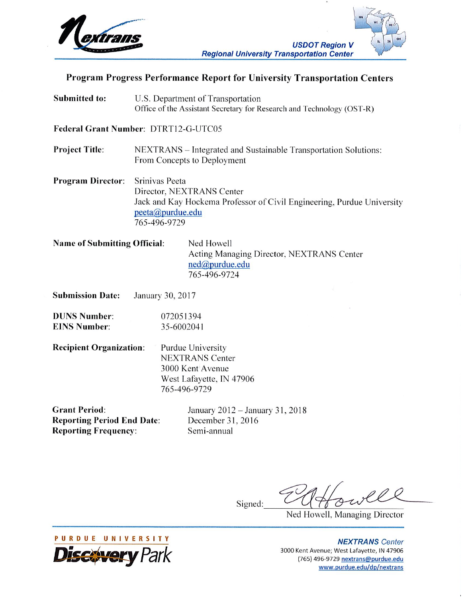

# Program Progress Performance Report for University Transportation Centers

**Submitted to:** U.S. Department of Transportation Office of the Assistant Secretary for Research and Technology (OST-R)

Federal Grant Number: DTRT12-G-UTC05

**Project Title:** NEXTRANS – Integrated and Sustainable Transportation Solutions: From Concepts to Deployment

**Program Director:** Srinivas Peeta Director, NEXTRANS Center Jack and Kay Hockema Professor of Civil Engineering, Purdue University peeta@purdue.edu 765-496-9729

| <b>Name of Submitting Official:</b> | Ned Howell                                |
|-------------------------------------|-------------------------------------------|
|                                     | Acting Managing Director, NEXTRANS Center |
|                                     | ned@purdue.edu                            |
|                                     | 765-496-9724                              |

**Submission Date:** January 30, 2017

**DUNS Number:** 072051394 **EINS Number:** 35-6002041

**Recipient Organization:** Purdue University **NEXTRANS Center** 3000 Kent Avenue West Lafayette, IN 47906 765-496-9729

**Grant Period: Reporting Period End Date: Reporting Frequency:** 

January 2012 - January 31, 2018 December 31, 2016 Semi-annual

Signed:

Ned Howell, Managing Director

**NEXTRANS** Center 3000 Kent Avenue; West Lafayette, IN 47906 (765) 496-9729 nextrans@purdue.edu www.purdue.edu/dp/nextrans

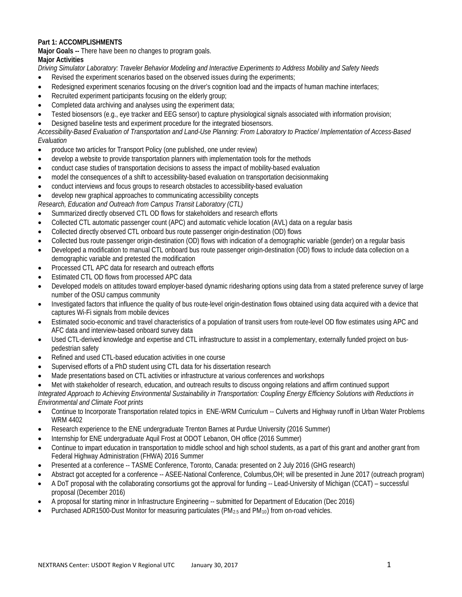## **Part 1: ACCOMPLISHMENTS**

**Major Goals --** There have been no changes to program goals.

## **Major Activities**

*Driving Simulator Laboratory: Traveler Behavior Modeling and Interactive Experiments to Address Mobility and Safety Needs*

- Revised the experiment scenarios based on the observed issues during the experiments;
- Redesigned experiment scenarios focusing on the driver's cognition load and the impacts of human machine interfaces;
- Recruited experiment participants focusing on the elderly group;
- Completed data archiving and analyses using the experiment data;
- Tested biosensors (e.g., eye tracker and EEG sensor) to capture physiological signals associated with information provision;
- Designed baseline tests and experiment procedure for the integrated biosensors.

*Accessibility-Based Evaluation of Transportation and Land-Use Planning: From Laboratory to Practice/ Implementation of Access-Based Evaluation*

- produce two articles for Transport Policy (one published, one under review)
- develop a website to provide transportation planners with implementation tools for the methods
- conduct case studies of transportation decisions to assess the impact of mobility-based evaluation
- model the consequences of a shift to accessibility-based evaluation on transportation decisionmaking
- conduct interviews and focus groups to research obstacles to accessibility-based evaluation
- develop new graphical approaches to communicating accessibility concepts

*Research, Education and Outreach from Campus Transit Laboratory (CTL)*

- Summarized directly observed CTL OD flows for stakeholders and research efforts
- Collected CTL automatic passenger count (APC) and automatic vehicle location (AVL) data on a regular basis
- Collected directly observed CTL onboard bus route passenger origin-destination (OD) flows
- Collected bus route passenger origin-destination (OD) flows with indication of a demographic variable (gender) on a regular basis
- Developed a modification to manual CTL onboard bus route passenger origin-destination (OD) flows to include data collection on a demographic variable and pretested the modification
- Processed CTL APC data for research and outreach efforts
- Estimated CTL OD flows from processed APC data
- Developed models on attitudes toward employer-based dynamic ridesharing options using data from a stated preference survey of large number of the OSU campus community
- Investigated factors that influence the quality of bus route-level origin-destination flows obtained using data acquired with a device that captures Wi-Fi signals from mobile devices
- Estimated socio-economic and travel characteristics of a population of transit users from route-level OD flow estimates using APC and AFC data and interview-based onboard survey data
- Used CTL-derived knowledge and expertise and CTL infrastructure to assist in a complementary, externally funded project on buspedestrian safety
- Refined and used CTL-based education activities in one course
- Supervised efforts of a PhD student using CTL data for his dissertation research
- Made presentations based on CTL activities or infrastructure at various conferences and workshops
- Met with stakeholder of research, education, and outreach results to discuss ongoing relations and affirm continued support *Integrated Approach to Achieving Environmental Sustainability in Transportation: Coupling Energy Efficiency Solutions with Reductions in*

*Environmental and Climate Foot prints*

- Continue to Incorporate Transportation related topics in ENE-WRM Curriculum -- Culverts and Highway runoff in Urban Water Problems WRM 4402
- Research experience to the ENE undergraduate Trenton Barnes at Purdue University (2016 Summer)
- Internship for ENE undergraduate Aquil Frost at ODOT Lebanon, OH office (2016 Summer)
- Continue to impart education in transportation to middle school and high school students, as a part of this grant and another grant from Federal Highway Administration (FHWA) 2016 Summer
- Presented at a conference -- TASME Conference, Toronto, Canada: presented on 2 July 2016 (GHG research)
- Abstract got accepted for a conference -- ASEE-National Conference, Columbus,OH; will be presented in June 2017 (outreach program)
- A DoT proposal with the collaborating consortiums got the approval for funding -- Lead-University of Michigan (CCAT) successful proposal (December 2016)
- A proposal for starting minor in Infrastructure Engineering -- submitted for Department of Education (Dec 2016)
- Purchased ADR1500-Dust Monitor for measuring particulates (PM<sub>2.5</sub> and PM<sub>10</sub>) from on-road vehicles.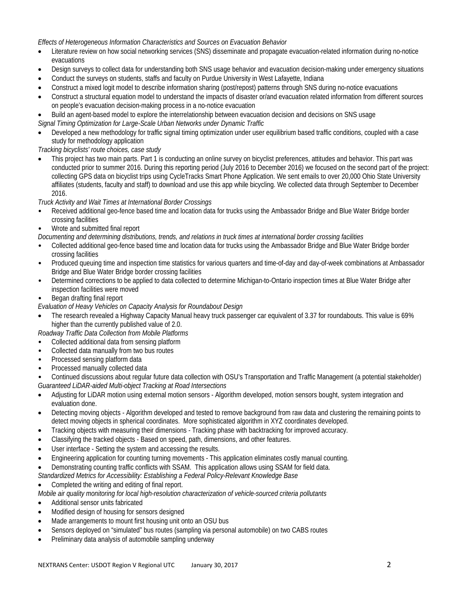## *Effects of Heterogeneous Information Characteristics and Sources on Evacuation Behavior*

- Literature review on how social networking services (SNS) disseminate and propagate evacuation-related information during no-notice evacuations
- Design surveys to collect data for understanding both SNS usage behavior and evacuation decision-making under emergency situations
- Conduct the surveys on students, staffs and faculty on Purdue University in West Lafayette, Indiana
- Construct a mixed logit model to describe information sharing (post/repost) patterns through SNS during no-notice evacuations
- Construct a structural equation model to understand the impacts of disaster or/and evacuation related information from different sources on people's evacuation decision-making process in a no-notice evacuation
- Build an agent-based model to explore the interrelationship between evacuation decision and decisions on SNS usage

*Signal Timing Optimization for Large-Scale Urban Networks under Dynamic Traffic*

• Developed a new methodology for traffic signal timing optimization under user equilibrium based traffic conditions, coupled with a case study for methodology application

*Tracking bicyclists' route choices, case study* 

• This project has two main parts. Part 1 is conducting an online survey on bicyclist preferences, attitudes and behavior. This part was conducted prior to summer 2016. During this reporting period (July 2016 to December 2016) we focused on the second part of the project: collecting GPS data on bicyclist trips using CycleTracks Smart Phone Application. We sent emails to over 20,000 Ohio State University affiliates (students, faculty and staff) to download and use this app while bicycling. We collected data through September to December 2016.

*Truck Activity and Wait Times at International Border Crossings*

- Received additional geo-fence based time and location data for trucks using the Ambassador Bridge and Blue Water Bridge border crossing facilities
- Wrote and submitted final report

*Documenting and determining distributions, trends, and relations in truck times at international border crossing facilities*

- Collected additional geo-fence based time and location data for trucks using the Ambassador Bridge and Blue Water Bridge border crossing facilities
- Produced queuing time and inspection time statistics for various quarters and time-of-day and day-of-week combinations at Ambassador Bridge and Blue Water Bridge border crossing facilities
- Determined corrections to be applied to data collected to determine Michigan-to-Ontario inspection times at Blue Water Bridge after inspection facilities were moved

• Began drafting final report

- *Evaluation of Heavy Vehicles on Capacity Analysis for Roundabout Design*
- The research revealed a Highway Capacity Manual heavy truck passenger car equivalent of 3.37 for roundabouts. This value is 69% higher than the currently published value of 2.0.
- *Roadway Traffic Data Collection from Mobile Platforms*
- Collected additional data from sensing platform
- Collected data manually from two bus routes
- Processed sensing platform data
- Processed manually collected data

• Continued discussions about regular future data collection with OSU's Transportation and Traffic Management (a potential stakeholder) *Guaranteed LiDAR-aided Multi-object Tracking at Road Intersections*

- Adjusting for LiDAR motion using external motion sensors Algorithm developed, motion sensors bought, system integration and evaluation done.
- Detecting moving objects Algorithm developed and tested to remove background from raw data and clustering the remaining points to detect moving objects in spherical coordinates. More sophisticated algorithm in XYZ coordinates developed.
- Tracking objects with measuring their dimensions Tracking phase with backtracking for improved accuracy.
- Classifying the tracked objects Based on speed, path, dimensions, and other features.
- User interface Setting the system and accessing the results.
- Engineering application for counting turning movements This application eliminates costly manual counting.
- Demonstrating counting traffic conflicts with SSAM. This application allows using SSAM for field data.

*Standardized Metrics for Accessibility: Establishing a Federal Policy-Relevant Knowledge Base*

• Completed the writing and editing of final report.

*Mobile air quality monitoring for local high-resolution characterization of vehicle-sourced criteria pollutants*

- Additional sensor units fabricated
- Modified design of housing for sensors designed
- Made arrangements to mount first housing unit onto an OSU bus
- Sensors deployed on "simulated" bus routes (sampling via personal automobile) on two CABS routes
- Preliminary data analysis of automobile sampling underway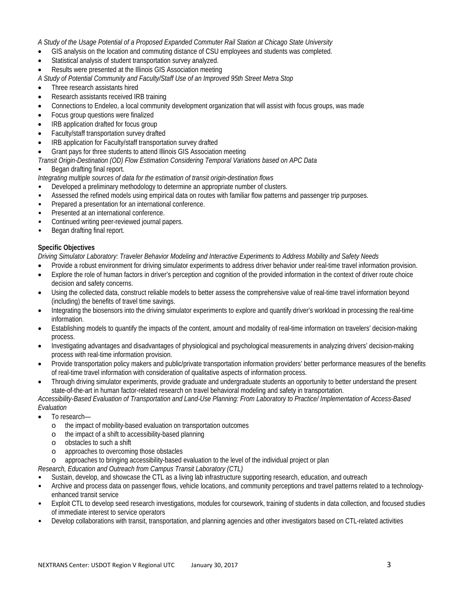#### *A Study of the Usage Potential of a Proposed Expanded Commuter Rail Station at Chicago State University*

- GIS analysis on the location and commuting distance of CSU employees and students was completed.
- Statistical analysis of student transportation survey analyzed.
- Results were presented at the Illinois GIS Association meeting

*A Study of Potential Community and Faculty/Staff Use of an Improved 95th Street Metra Stop*

- Three research assistants hired
- Research assistants received IRB training
- Connections to Endeleo, a local community development organization that will assist with focus groups, was made
- Focus group questions were finalized
- IRB application drafted for focus group
- Faculty/staff transportation survey drafted
- IRB application for Faculty/staff transportation survey drafted
- Grant pays for three students to attend Illinois GIS Association meeting
- *Transit Origin-Destination (OD) Flow Estimation Considering Temporal Variations based on APC Data*
- Began drafting final report.

#### *Integrating multiple sources of data for the estimation of transit origin-destination flows*

- Developed a preliminary methodology to determine an appropriate number of clusters.
- Assessed the refined models using empirical data on routes with familiar flow patterns and passenger trip purposes.
- Prepared a presentation for an international conference.
- Presented at an international conference.
- Continued writing peer-reviewed journal papers.
- Began drafting final report.

#### **Specific Objectives**

*Driving Simulator Laboratory: Traveler Behavior Modeling and Interactive Experiments to Address Mobility and Safety Needs*

- Provide a robust environment for driving simulator experiments to address driver behavior under real-time travel information provision.
- Explore the role of human factors in driver's perception and cognition of the provided information in the context of driver route choice decision and safety concerns.
- Using the collected data, construct reliable models to better assess the comprehensive value of real-time travel information beyond (including) the benefits of travel time savings.
- Integrating the biosensors into the driving simulator experiments to explore and quantify driver's workload in processing the real-time information.
- Establishing models to quantify the impacts of the content, amount and modality of real-time information on travelers' decision-making process.
- Investigating advantages and disadvantages of physiological and psychological measurements in analyzing drivers' decision-making process with real-time information provision.
- Provide transportation policy makers and public/private transportation information providers' better performance measures of the benefits of real-time travel information with consideration of qualitative aspects of information process.
- Through driving simulator experiments, provide graduate and undergraduate students an opportunity to better understand the present state-of-the-art in human factor-related research on travel behavioral modeling and safety in transportation.

*Accessibility-Based Evaluation of Transportation and Land-Use Planning: From Laboratory to Practice/ Implementation of Access-Based Evaluation*

- To research
	- o the impact of mobility-based evaluation on transportation outcomes
	- o the impact of a shift to accessibility-based planning
	- o obstacles to such a shift
	- o approaches to overcoming those obstacles
- approaches to bringing accessibility-based evaluation to the level of the individual project or plan
- *Research, Education and Outreach from Campus Transit Laboratory (CTL)*
- Sustain, develop, and showcase the CTL as a living lab infrastructure supporting research, education, and outreach
- Archive and process data on passenger flows, vehicle locations, and community perceptions and travel patterns related to a technologyenhanced transit service
- Exploit CTL to develop seed research investigations, modules for coursework, training of students in data collection, and focused studies of immediate interest to service operators
- Develop collaborations with transit, transportation, and planning agencies and other investigators based on CTL-related activities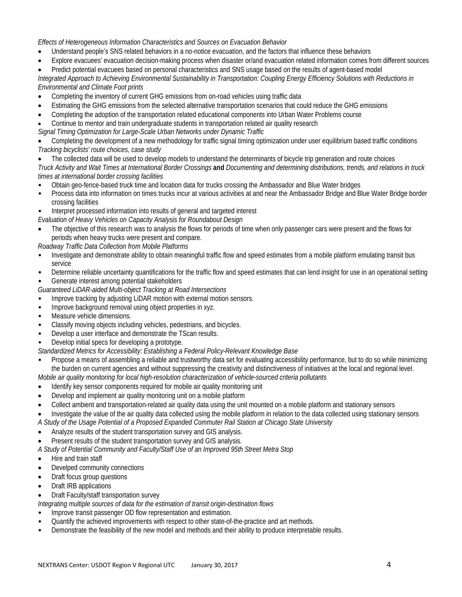*Effects of Heterogeneous Information Characteristics and Sources on Evacuation Behavior*

- Understand people's SNS related behaviors in a no-notice evacuation, and the factors that influence these behaviors
- Explore evacuees' evacuation decision-making process when disaster or/and evacuation related information comes from different sources
- Predict potential evacuees based on personal characteristics and SNS usage based on the results of agent-based model

*Integrated Approach to Achieving Environmental Sustainability in Transportation: Coupling Energy Efficiency Solutions with Reductions in Environmental and Climate Foot prints*

- Completing the inventory of current GHG emissions from on-road vehicles using traffic data
- Estimating the GHG emissions from the selected alternative transportation scenarios that could reduce the GHG emissions
- Completing the adoption of the transportation related educational components into Urban Water Problems course
- Continue to mentor and train undergraduate students in transportation related air quality research

*Signal Timing Optimization for Large-Scale Urban Networks under Dynamic Traffic*

• Completing the development of a new methodology for traffic signal timing optimization under user equilibrium based traffic conditions *Tracking bicyclists' route choices, case study* 

• The collected data will be used to develop models to understand the determinants of bicycle trip generation and route choices *Truck Activity and Wait Times at International Border Crossings* **and** *Documenting and determining distributions, trends, and relations in truck times at international border crossing facilities*

- Obtain geo-fence-based truck time and location data for trucks crossing the Ambassador and Blue Water bridges
- Process data into information on times trucks incur at various activities at and near the Ambassador Bridge and Blue Water Bridge border crossing facilities

• Interpret processed information into results of general and targeted interest

- *Evaluation of Heavy Vehicles on Capacity Analysis for Roundabout Design*
- The objective of this research was to analysis the flows for periods of time when only passenger cars were present and the flows for periods when heavy trucks were present and compare.

*Roadway Traffic Data Collection from Mobile Platforms*

- Investigate and demonstrate ability to obtain meaningful traffic flow and speed estimates from a mobile platform emulating transit bus service
- Determine reliable uncertainty quantifications for the traffic flow and speed estimates that can lend insight for use in an operational setting
- Generate interest among potential stakeholders

*Guaranteed LiDAR-aided Multi-object Tracking at Road Intersections*

- Improve tracking by adjusting LiDAR motion with external motion sensors.
- Improve background removal using object properties in xyz.
- Measure vehicle dimensions.
- Classify moving objects including vehicles, pedestrians, and bicycles.
- Develop a user interface and demonstrate the TScan results.
- Develop initial specs for developing a prototype.

*Standardized Metrics for Accessibility: Establishing a Federal Policy-Relevant Knowledge Base*

• Propose a means of assembling a reliable and trustworthy data set for evaluating accessibility performance, but to do so while minimizing the burden on current agencies and without suppressing the creativity and distinctiveness of initiatives at the local and regional level.

*Mobile air quality monitoring for local high-resolution characterization of vehicle-sourced criteria pollutants*

- Identify key sensor components required for mobile air quality monitoring unit
- Develop and implement air quality monitoring unit on a mobile platform
- Collect ambient and transportation-related air quality data using the unit mounted on a mobile platform and stationary sensors
- Investigate the value of the air quality data collected using the mobile platform in relation to the data collected using stationary sensors
- *A Study of the Usage Potential of a Proposed Expanded Commuter Rail Station at Chicago State University*
- Analyze results of the student transportation survey and GIS analysis.
- Present results of the student transportation survey and GIS analysis.
- *A Study of Potential Community and Faculty/Staff Use of an Improved 95th Street Metra Stop*
- Hire and train staff
- Develped community connections
- Draft focus group questions
- Draft IRB applications
- Draft Faculty/staff transportation survey

*Integrating multiple sources of data for the estimation of transit origin-destination flows*

- Improve transit passenger OD flow representation and estimation.
- Quantify the achieved improvements with respect to other state-of-the-practice and art methods.
- Demonstrate the feasibility of the new model and methods and their ability to produce interpretable results.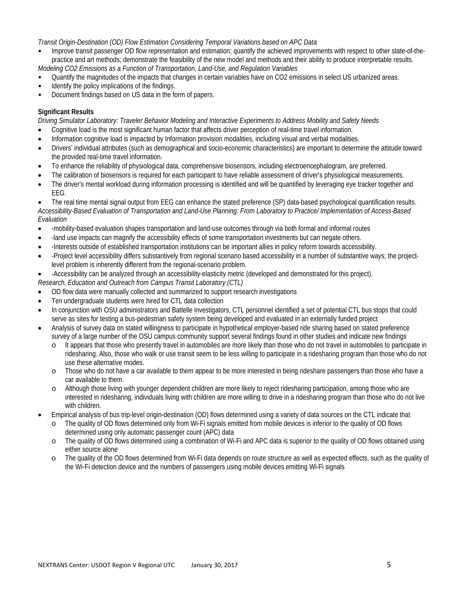*Transit Origin-Destination (OD) Flow Estimation Considering Temporal Variations based on APC Data*

- Improve transit passenger OD flow representation and estimation; quantify the achieved improvements with respect to other state-of-thepractice and art methods; demonstrate the feasibility of the new model and methods and their ability to produce interpretable results. *Modeling CO2 Emissions as a Function of Transportation, Land-Use, and Regulation Variables*
- Quantify the magnitudes of the impacts that changes in certain variables have on CO2 emissions in select US urbanized areas.
- Identify the policy implications of the findings.
- Document findings based on US data in the form of papers.

#### **Significant Results**

*Driving Simulator Laboratory: Traveler Behavior Modeling and Interactive Experiments to Address Mobility and Safety Needs*

- Cognitive load is the most significant human factor that affects driver perception of real-time travel information.
- Information cognitive load is impacted by Information provision modalities, including visual and verbal modalities.
- Drivers' individual attributes (such as demographical and socio-economic characteristics) are important to determine the attitude toward the provided real-time travel information.
- To enhance the reliability of physiological data, comprehensive biosensors, including electroencephalogram, are preferred.
- The calibration of biosensors is required for each participant to have reliable assessment of driver's physiological measurements.
- The driver's mental workload during information processing is identified and will be quantified by leveraging eye tracker together and EEG.

• The real time mental signal output from EEG can enhance the stated preference (SP) data-based psychological quantification results. *Accessibility-Based Evaluation of Transportation and Land-Use Planning: From Laboratory to Practice/ Implementation of Access-Based Evaluation*

- -mobility-based evaluation shapes transportation and land-use outcomes through via both formal and informal routes
- -land use impacts can magnify the accessibility effects of some transportation investments but can negate others.
- -Interests outside of established transportation institutions can be important allies in policy reform towards accessibility.
- -Project level accessibility differs substantively from regional scenario based accessibility in a number of substantive ways; the projectlevel problem is inherently different from the regional-scenario problem.
- -Accessibility can be analyzed through an accessibility-elasticity metric (developed and demonstrated for this project).
- *Research, Education and Outreach from Campus Transit Laboratory (CTL)*
- OD flow data were manually collected and summarized to support research investigations
- Ten undergraduate students were hired for CTL data collection
- In conjunction with OSU administrators and Battelle investigators, CTL personnel identified a set of potential CTL bus stops that could serve as sites for testing a bus-pedestrian safety system being developed and evaluated in an externally funded project
- Analysis of survey data on stated willingness to participate in hypothetical employer-based ride sharing based on stated preference survey of a large number of the OSU campus community support several findings found in other studies and indicate new findings
	- o It appears that those who presently travel in automobiles are more likely than those who do not travel in automobiles to participate in ridesharing. Also, those who walk or use transit seem to be less willing to participate in a ridesharing program than those who do not use these alternative modes.
	- o Those who do not have a car available to them appear to be more interested in being rideshare passengers than those who have a car available to them.
	- o Although those living with younger dependent children are more likely to reject ridesharing participation, among those who are interested in ridesharing, individuals living with children are more willing to drive in a ridesharing program than those who do not live with children.
- Empirical analysis of bus trip-level origin-destination (OD) flows determined using a variety of data sources on the CTL indicate that
	- The quality of OD flows determined only from Wi-Fi signals emitted from mobile devices is inferior to the quality of OD flows determined using only automatic passenger count (APC) data
	- o The quality of OD flows determined using a combination of Wi-Fi and APC data is superior to the quality of OD flows obtained using either source alone
	- o The quality of the OD flows determined from Wi-Fi data depends on route structure as well as expected effects, such as the quality of the Wi-Fi detection device and the numbers of passengers using mobile devices emitting Wi-Fi signals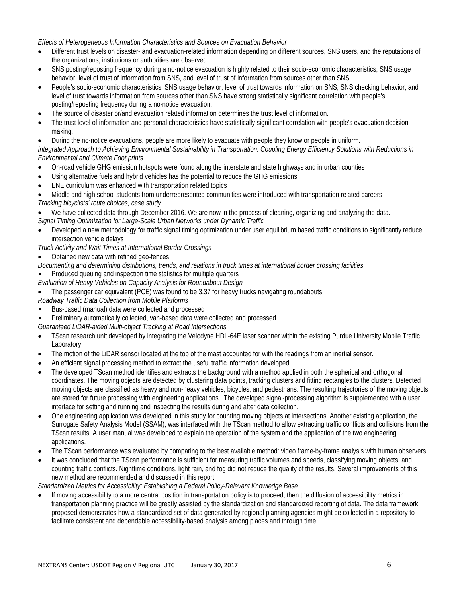*Effects of Heterogeneous Information Characteristics and Sources on Evacuation Behavior*

- Different trust levels on disaster- and evacuation-related information depending on different sources, SNS users, and the reputations of the organizations, institutions or authorities are observed.
- SNS posting/reposting frequency during a no-notice evacuation is highly related to their socio-economic characteristics, SNS usage behavior, level of trust of information from SNS, and level of trust of information from sources other than SNS.
- People's socio-economic characteristics, SNS usage behavior, level of trust towards information on SNS, SNS checking behavior, and level of trust towards information from sources other than SNS have strong statistically significant correlation with people's posting/reposting frequency during a no-notice evacuation.
- The source of disaster or/and evacuation related information determines the trust level of information.
- The trust level of information and personal characteristics have statistically significant correlation with people's evacuation decisionmaking.
- During the no-notice evacuations, people are more likely to evacuate with people they know or people in uniform.

*Integrated Approach to Achieving Environmental Sustainability in Transportation: Coupling Energy Efficiency Solutions with Reductions in Environmental and Climate Foot prints*

- On-road vehicle GHG emission hotspots were found along the interstate and state highways and in urban counties
- Using alternative fuels and hybrid vehicles has the potential to reduce the GHG emissions
- ENE curriculum was enhanced with transportation related topics
- Middle and high school students from underrepresented communities were introduced with transportation related careers *Tracking bicyclists' route choices, case study*

• We have collected data through December 2016. We are now in the process of cleaning, organizing and analyzing the data.

- *Signal Timing Optimization for Large-Scale Urban Networks under Dynamic Traffic*
- Developed a new methodology for traffic signal timing optimization under user equilibrium based traffic conditions to significantly reduce intersection vehicle delays
- *Truck Activity and Wait Times at International Border Crossings*
- Obtained new data with refined geo-fences

*Documenting and determining distributions, trends, and relations in truck times at international border crossing facilities*

- Produced queuing and inspection time statistics for multiple quarters
- *Evaluation of Heavy Vehicles on Capacity Analysis for Roundabout Design*
- The passenger car equivalent (PCE) was found to be 3.37 for heavy trucks navigating roundabouts.

*Roadway Traffic Data Collection from Mobile Platforms*

- Bus-based (manual) data were collected and processed
- Preliminary automatically collected, van-based data were collected and processed

*Guaranteed LiDAR-aided Multi-object Tracking at Road Intersections*

- TScan research unit developed by integrating the Velodyne HDL-64E laser scanner within the existing Purdue University Mobile Traffic Laboratory.
- The motion of the LiDAR sensor located at the top of the mast accounted for with the readings from an inertial sensor.
- An efficient signal processing method to extract the useful traffic information developed.
- The developed TScan method identifies and extracts the background with a method applied in both the spherical and orthogonal coordinates. The moving objects are detected by clustering data points, tracking clusters and fitting rectangles to the clusters. Detected moving objects are classified as heavy and non-heavy vehicles, bicycles, and pedestrians. The resulting trajectories of the moving objects are stored for future processing with engineering applications. The developed signal-processing algorithm is supplemented with a user interface for setting and running and inspecting the results during and after data collection.
- One engineering application was developed in this study for counting moving objects at intersections. Another existing application, the Surrogate Safety Analysis Model (SSAM), was interfaced with the TScan method to allow extracting traffic conflicts and collisions from the TScan results. A user manual was developed to explain the operation of the system and the application of the two engineering applications.
- The TScan performance was evaluated by comparing to the best available method: video frame-by-frame analysis with human observers.
- It was concluded that the TScan performance is sufficient for measuring traffic volumes and speeds, classifying moving objects, and counting traffic conflicts. Nighttime conditions, light rain, and fog did not reduce the quality of the results. Several improvements of this new method are recommended and discussed in this report.

*Standardized Metrics for Accessibility: Establishing a Federal Policy-Relevant Knowledge Base*

• If moving accessibility to a more central position in transportation policy is to proceed, then the diffusion of accessibility metrics in transportation planning practice will be greatly assisted by the standardization and standardized reporting of data. The data framework proposed demonstrates how a standardized set of data generated by regional planning agencies might be collected in a repository to facilitate consistent and dependable accessibility-based analysis among places and through time.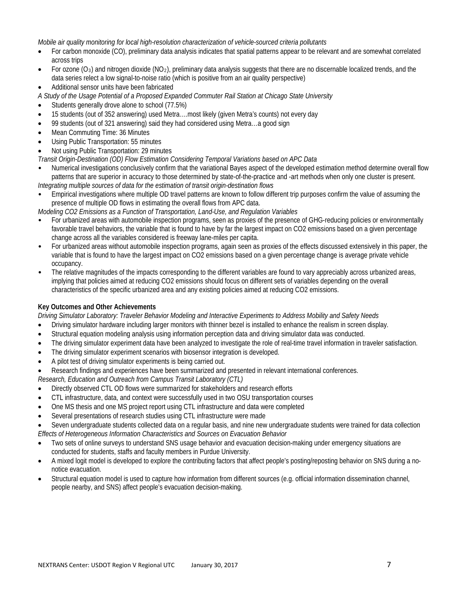*Mobile air quality monitoring for local high-resolution characterization of vehicle-sourced criteria pollutants*

- For carbon monoxide (CO), preliminary data analysis indicates that spatial patterns appear to be relevant and are somewhat correlated across trips
- For ozone  $(O_3)$  and nitrogen dioxide (NO<sub>2</sub>), preliminary data analysis suggests that there are no discernable localized trends, and the data series relect a low signal-to-noise ratio (which is positive from an air quality perspective)
- Additional sensor units have been fabricated
- *A Study of the Usage Potential of a Proposed Expanded Commuter Rail Station at Chicago State University*
- Students generally drove alone to school (77.5%)
- 15 students (out of 352 answering) used Metra….most likely (given Metra's counts) not every day
- 99 students (out of 321 answering) said they had considered using Metra…a good sign
- Mean Commuting Time: 36 Minutes
- Using Public Transportation: 55 minutes
- Not using Public Transportation: 29 minutes
- *Transit Origin-Destination (OD) Flow Estimation Considering Temporal Variations based on APC Data*
- Numerical investigations conclusively confirm that the variational Bayes aspect of the developed estimation method determine overall flow patterns that are superior in accuracy to those determined by state-of-the-practice and -art methods when only one cluster is present. *Integrating multiple sources of data for the estimation of transit origin-destination flows*
- Empirical investigations where multiple OD travel patterns are known to follow different trip purposes confirm the value of assuming the presence of multiple OD flows in estimating the overall flows from APC data.
- *Modeling CO2 Emissions as a Function of Transportation, Land-Use, and Regulation Variables*
- For urbanized areas with automobile inspection programs, seen as proxies of the presence of GHG-reducing policies or environmentally favorable travel behaviors, the variable that is found to have by far the largest impact on CO2 emissions based on a given percentage change across all the variables considered is freeway lane-miles per capita.
- For urbanized areas without automobile inspection programs, again seen as proxies of the effects discussed extensively in this paper, the variable that is found to have the largest impact on CO2 emissions based on a given percentage change is average private vehicle occupancy.
- The relative magnitudes of the impacts corresponding to the different variables are found to vary appreciably across urbanized areas, implying that policies aimed at reducing CO2 emissions should focus on different sets of variables depending on the overall characteristics of the specific urbanized area and any existing policies aimed at reducing CO2 emissions.

## **Key Outcomes and Other Achievements**

*Driving Simulator Laboratory: Traveler Behavior Modeling and Interactive Experiments to Address Mobility and Safety Needs*

- Driving simulator hardware including larger monitors with thinner bezel is installed to enhance the realism in screen display.
- Structural equation modeling analysis using information perception data and driving simulator data was conducted.
- The driving simulator experiment data have been analyzed to investigate the role of real-time travel information in traveler satisfaction.
- The driving simulator experiment scenarios with biosensor integration is developed.
- A pilot test of driving simulator experiments is being carried out.
- Research findings and experiences have been summarized and presented in relevant international conferences.

*Research, Education and Outreach from Campus Transit Laboratory (CTL)*

- Directly observed CTL OD flows were summarized for stakeholders and research efforts
- CTL infrastructure, data, and context were successfully used in two OSU transportation courses
- One MS thesis and one MS project report using CTL infrastructure and data were completed
- Several presentations of research studies using CTL infrastructure were made

• Seven undergraduate students collected data on a regular basis, and nine new undergraduate students were trained for data collection *Effects of Heterogeneous Information Characteristics and Sources on Evacuation Behavior*

- Two sets of online surveys to understand SNS usage behavior and evacuation decision-making under emergency situations are conducted for students, staffs and faculty members in Purdue University.
- A mixed logit model is developed to explore the contributing factors that affect people's posting/reposting behavior on SNS during a nonotice evacuation.
- Structural equation model is used to capture how information from different sources (e.g. official information dissemination channel, people nearby, and SNS) affect people's evacuation decision-making.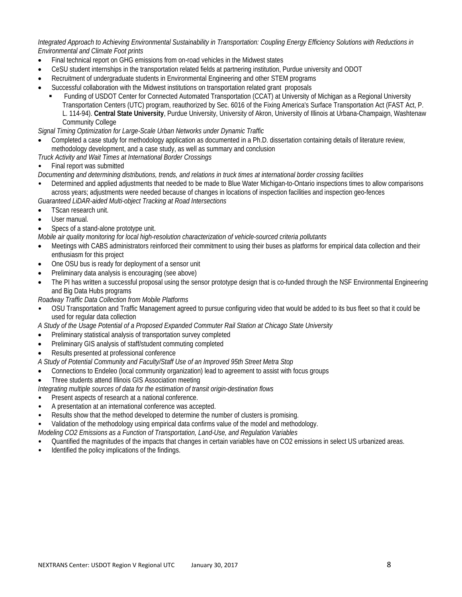*Integrated Approach to Achieving Environmental Sustainability in Transportation: Coupling Energy Efficiency Solutions with Reductions in Environmental and Climate Foot prints*

- Final technical report on GHG emissions from on-road vehicles in the Midwest states
- CeSU student internships in the transportation related fields at partnering institution, Purdue university and ODOT
- Recruitment of undergraduate students in Environmental Engineering and other STEM programs
- Successful collaboration with the Midwest institutions on transportation related grant proposals
	- Funding of USDOT Center for Connected Automated Transportation (CCAT) at University of Michigan as a Regional University Transportation Centers (UTC) program, reauthorized by Sec. 6016 of the Fixing America's Surface Transportation Act (FAST Act, P. L. 114-94). **Central State University**, Purdue University, University of Akron, University of Illinois at Urbana-Champaign, Washtenaw Community College

*Signal Timing Optimization for Large-Scale Urban Networks under Dynamic Traffic*

- Completed a case study for methodology application as documented in a Ph.D. dissertation containing details of literature review, methodology development, and a case study, as well as summary and conclusion
- *Truck Activity and Wait Times at International Border Crossings*
- Final report was submitted

*Documenting and determining distributions, trends, and relations in truck times at international border crossing facilities*

• Determined and applied adjustments that needed to be made to Blue Water Michigan-to-Ontario inspections times to allow comparisons across years; adjustments were needed because of changes in locations of inspection facilities and inspection geo-fences *Guaranteed LiDAR-aided Multi-object Tracking at Road Intersections*

• TScan research unit.

- 
- User manual.
- Specs of a stand-alone prototype unit.

*Mobile air quality monitoring for local high-resolution characterization of vehicle-sourced criteria pollutants*

- Meetings with CABS administrators reinforced their commitment to using their buses as platforms for empirical data collection and their enthusiasm for this project
- One OSU bus is ready for deployment of a sensor unit
- Preliminary data analysis is encouraging (see above)
- The PI has written a successful proposal using the sensor prototype design that is co-funded through the NSF Environmental Engineering and Big Data Hubs programs

*Roadway Traffic Data Collection from Mobile Platforms*

• OSU Transportation and Traffic Management agreed to pursue configuring video that would be added to its bus fleet so that it could be used for regular data collection

*A Study of the Usage Potential of a Proposed Expanded Commuter Rail Station at Chicago State University*

- Preliminary statistical analysis of transportation survey completed
- Preliminary GIS analysis of staff/student commuting completed
- Results presented at professional conference

*A Study of Potential Community and Faculty/Staff Use of an Improved 95th Street Metra Stop*

- Connections to Endeleo (local community organization) lead to agreement to assist with focus groups
- Three students attend Illinois GIS Association meeting

*Integrating multiple sources of data for the estimation of transit origin-destination flows*

- Present aspects of research at a national conference.
- A presentation at an international conference was accepted.
- Results show that the method developed to determine the number of clusters is promising.

• Validation of the methodology using empirical data confirms value of the model and methodology.

- *Modeling CO2 Emissions as a Function of Transportation, Land-Use, and Regulation Variables*
- Quantified the magnitudes of the impacts that changes in certain variables have on CO2 emissions in select US urbanized areas.
- Identified the policy implications of the findings.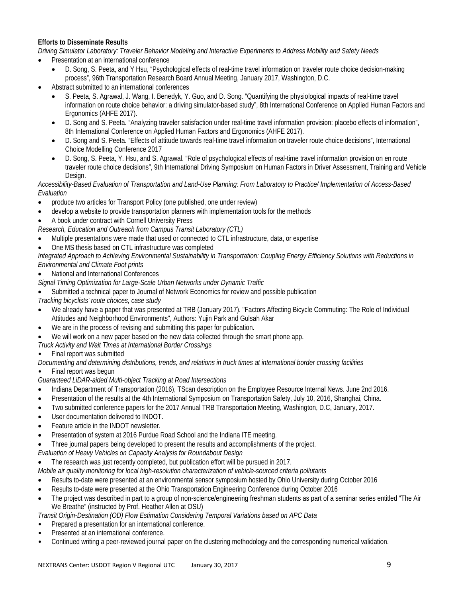## **Efforts to Disseminate Results**

*Driving Simulator Laboratory: Traveler Behavior Modeling and Interactive Experiments to Address Mobility and Safety Needs*

- Presentation at an international conference
	- D. Song, S. Peeta, and Y Hsu, "Psychological effects of real-time travel information on traveler route choice decision-making process", 96th Transportation Research Board Annual Meeting, January 2017, Washington, D.C.
- Abstract submitted to an international conferences
	- S. Peeta, S. Agrawal, J. Wang, I. Benedyk, Y. Guo, and D. Song. "Quantifying the physiological impacts of real-time travel information on route choice behavior: a driving simulator-based study", 8th International Conference on Applied Human Factors and Ergonomics (AHFE 2017).
	- D. Song and S. Peeta. "Analyzing traveler satisfaction under real-time travel information provision: placebo effects of information", 8th International Conference on Applied Human Factors and Ergonomics (AHFE 2017).
	- D. Song and S. Peeta. "Effects of attitude towards real-time travel information on traveler route choice decisions", International Choice Modelling Conference 2017
	- D. Song, S. Peeta, Y. Hsu, and S. Agrawal. "Role of psychological effects of real-time travel information provision on en route traveler route choice decisions", 9th International Driving Symposium on Human Factors in Driver Assessment, Training and Vehicle Design.

*Accessibility-Based Evaluation of Transportation and Land-Use Planning: From Laboratory to Practice/ Implementation of Access-Based Evaluation*

- produce two articles for Transport Policy (one published, one under review)
- develop a website to provide transportation planners with implementation tools for the methods
- A book under contract with Cornell University Press

*Research, Education and Outreach from Campus Transit Laboratory (CTL)*

- Multiple presentations were made that used or connected to CTL infrastructure, data, or expertise
- One MS thesis based on CTL infrastructure was completed

*Integrated Approach to Achieving Environmental Sustainability in Transportation: Coupling Energy Efficiency Solutions with Reductions in Environmental and Climate Foot prints*

- National and International Conferences
- *Signal Timing Optimization for Large-Scale Urban Networks under Dynamic Traffic*
- Submitted a technical paper to Journal of Network Economics for review and possible publication

*Tracking bicyclists' route choices, case study* 

- We already have a paper that was presented at TRB (January 2017). "Factors Affecting Bicycle Commuting: The Role of Individual Attitudes and Neighborhood Environments", Authors: Yujin Park and Gulsah Akar
- We are in the process of revising and submitting this paper for publication.
- We will work on a new paper based on the new data collected through the smart phone app.
- *Truck Activity and Wait Times at International Border Crossings*
- Final report was submitted

*Documenting and determining distributions, trends, and relations in truck times at international border crossing facilities*

• Final report was begun

*Guaranteed LiDAR-aided Multi-object Tracking at Road Intersections*

- Indiana Department of Transportation (2016), TScan description on the Employee Resource Internal News. June 2nd 2016.
- Presentation of the results at the 4th International Symposium on Transportation Safety, July 10, 2016, Shanghai, China.
- Two submitted conference papers for the 2017 Annual TRB Transportation Meeting, Washington, D.C, January, 2017.
- User documentation delivered to INDOT.
- Feature article in the INDOT newsletter.
- Presentation of system at 2016 Purdue Road School and the Indiana ITE meeting.
- Three journal papers being developed to present the results and accomplishments of the project.

*Evaluation of Heavy Vehicles on Capacity Analysis for Roundabout Design*

• The research was just recently completed, but publication effort will be pursued in 2017.

*Mobile air quality monitoring for local high-resolution characterization of vehicle-sourced criteria pollutants*

- Results to-date were presented at an environmental sensor symposium hosted by Ohio University during October 2016
- Results to-date were presented at the Ohio Transportation Engineering Conference during October 2016
- The project was described in part to a group of non-science/engineering freshman students as part of a seminar series entitled "The Air We Breathe" (instructed by Prof. Heather Allen at OSU)

*Transit Origin-Destination (OD) Flow Estimation Considering Temporal Variations based on APC Data* 

- Prepared a presentation for an international conference.
- Presented at an international conference.
- Continued writing a peer-reviewed journal paper on the clustering methodology and the corresponding numerical validation.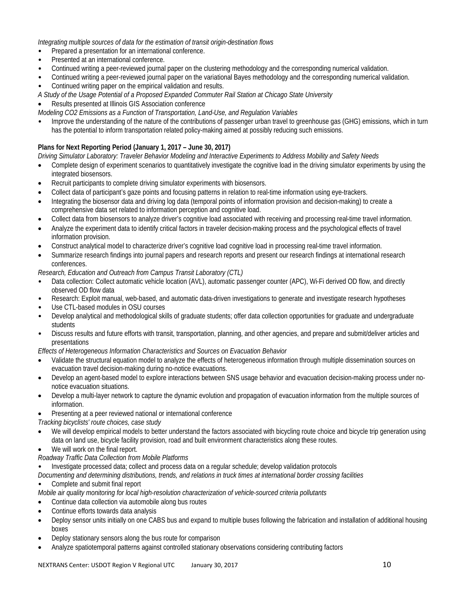*Integrating multiple sources of data for the estimation of transit origin-destination flows*

- Prepared a presentation for an international conference.
- Presented at an international conference.
- Continued writing a peer-reviewed journal paper on the clustering methodology and the corresponding numerical validation.
- Continued writing a peer-reviewed journal paper on the variational Bayes methodology and the corresponding numerical validation.
- Continued writing paper on the empirical validation and results.
- *A Study of the Usage Potential of a Proposed Expanded Commuter Rail Station at Chicago State University*
- Results presented at Illinois GIS Association conference

*Modeling CO2 Emissions as a Function of Transportation, Land-Use, and Regulation Variables*

• Improve the understanding of the nature of the contributions of passenger urban travel to greenhouse gas (GHG) emissions, which in turn has the potential to inform transportation related policy-making aimed at possibly reducing such emissions.

## **Plans for Next Reporting Period (January 1, 2017 – June 30, 2017)**

*Driving Simulator Laboratory: Traveler Behavior Modeling and Interactive Experiments to Address Mobility and Safety Needs*

- Complete design of experiment scenarios to quantitatively investigate the cognitive load in the driving simulator experiments by using the integrated biosensors.
- Recruit participants to complete driving simulator experiments with biosensors.
- Collect data of participant's gaze points and focusing patterns in relation to real-time information using eye-trackers.
- Integrating the biosensor data and driving log data (temporal points of information provision and decision-making) to create a comprehensive data set related to information perception and cognitive load.
- Collect data from biosensors to analyze driver's cognitive load associated with receiving and processing real-time travel information.
- Analyze the experiment data to identify critical factors in traveler decision-making process and the psychological effects of travel information provision.
- Construct analytical model to characterize driver's cognitive load cognitive load in processing real-time travel information.
- Summarize research findings into journal papers and research reports and present our research findings at international research conferences.

*Research, Education and Outreach from Campus Transit Laboratory (CTL)*

- Data collection: Collect automatic vehicle location (AVL), automatic passenger counter (APC), Wi-Fi derived OD flow, and directly observed OD flow data
- Research: Exploit manual, web-based, and automatic data-driven investigations to generate and investigate research hypotheses
- Use CTL-based modules in OSU courses
- Develop analytical and methodological skills of graduate students; offer data collection opportunities for graduate and undergraduate students
- Discuss results and future efforts with transit, transportation, planning, and other agencies, and prepare and submit/deliver articles and presentations

#### *Effects of Heterogeneous Information Characteristics and Sources on Evacuation Behavior*

- Validate the structural equation model to analyze the effects of heterogeneous information through multiple dissemination sources on evacuation travel decision-making during no-notice evacuations.
- Develop an agent-based model to explore interactions between SNS usage behavior and evacuation decision-making process under nonotice evacuation situations.
- Develop a multi-layer network to capture the dynamic evolution and propagation of evacuation information from the multiple sources of information.
- Presenting at a peer reviewed national or international conference
- *Tracking bicyclists' route choices, case study*
- We will develop empirical models to better understand the factors associated with bicycling route choice and bicycle trip generation using data on land use, bicycle facility provision, road and built environment characteristics along these routes.
- We will work on the final report.
- *Roadway Traffic Data Collection from Mobile Platforms*
- Investigate processed data; collect and process data on a regular schedule; develop validation protocols

*Documenting and determining distributions, trends, and relations in truck times at international border crossing facilities*

#### • Complete and submit final report

*Mobile air quality monitoring for local high-resolution characterization of vehicle-sourced criteria pollutants*

- Continue data collection via automobile along bus routes
- Continue efforts towards data analysis
- Deploy sensor units initially on one CABS bus and expand to multiple buses following the fabrication and installation of additional housing boxes
- Deploy stationary sensors along the bus route for comparison
- Analyze spatiotemporal patterns against controlled stationary observations considering contributing factors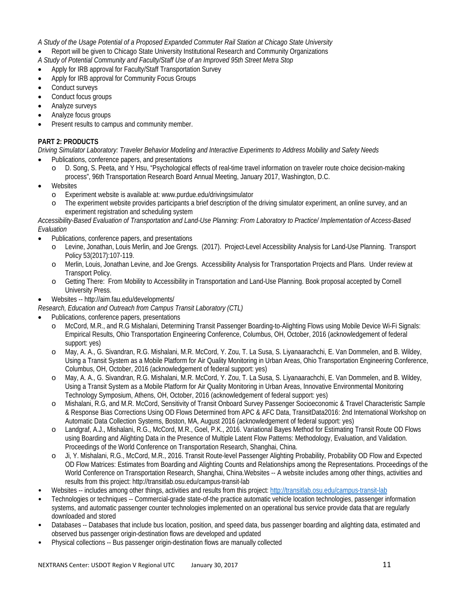*A Study of the Usage Potential of a Proposed Expanded Commuter Rail Station at Chicago State University*

- Report will be given to Chicago State University Institutional Research and Community Organizations
- *A Study of Potential Community and Faculty/Staff Use of an Improved 95th Street Metra Stop*
- Apply for IRB approval for Faculty/Staff Transportation Survey
- Apply for IRB approval for Community Focus Groups
- Conduct surveys
- Conduct focus groups
- Analyze surveys
- Analyze focus groups
- Present results to campus and community member.

# **PART 2: PRODUCTS**

*Driving Simulator Laboratory: Traveler Behavior Modeling and Interactive Experiments to Address Mobility and Safety Needs*

- Publications, conference papers, and presentations
	- o D. Song, S. Peeta, and Y Hsu, "Psychological effects of real-time travel information on traveler route choice decision-making process", 96th Transportation Research Board Annual Meeting, January 2017, Washington, D.C.
- **Websites** 
	- o Experiment website is available at[: www.purdue.edu/drivingsimulator](http://www.purdue.edu/drivingsimulator)
	- The experiment website provides participants a brief description of the driving simulator experiment, an online survey, and an experiment registration and scheduling system

*Accessibility-Based Evaluation of Transportation and Land-Use Planning: From Laboratory to Practice/ Implementation of Access-Based Evaluation*

- Publications, conference papers, and presentations
	- o Levine, Jonathan, Louis Merlin, and Joe Grengs. (2017). Project-Level Accessibility Analysis for Land-Use Planning. Transport Policy 53(2017):107-119.
	- o Merlin, Louis, Jonathan Levine, and Joe Grengs. Accessibility Analysis for Transportation Projects and Plans. Under review at Transport Policy.
	- o Getting There: From Mobility to Accessibility in Transportation and Land-Use Planning. Book proposal accepted by Cornell University Press.
- Websites -- http://aim.fau.edu/developments/
- *Research, Education and Outreach from Campus Transit Laboratory (CTL)*
- Publications, conference papers, presentations
	- o McCord, M.R., and R.G Mishalani, Determining Transit Passenger Boarding-to-Alighting Flows using Mobile Device Wi-Fi Signals: Empirical Results, Ohio Transportation Engineering Conference, Columbus, OH, October, 2016 (acknowledgement of federal support: yes)
	- May, A. A., G. Sivandran, R.G. Mishalani, M.R. McCord, Y. Zou, T. La Susa, S. Liyanaarachchi, E. Van Dommelen, and B. Wildey, Using a Transit System as a Mobile Platform for Air Quality Monitoring in Urban Areas, Ohio Transportation Engineering Conference, Columbus, OH, October, 2016 (acknowledgement of federal support: yes)
	- o May, A. A., G. Sivandran, R.G. Mishalani, M.R. McCord, Y. Zou, T. La Susa, S. Liyanaarachchi, E. Van Dommelen, and B. Wildey, Using a Transit System as a Mobile Platform for Air Quality Monitoring in Urban Areas, Innovative Environmental Monitoring Technology Symposium, Athens, OH, October, 2016 (acknowledgement of federal support: yes)
	- o Mishalani, R.G, and M.R. McCord, Sensitivity of Transit Onboard Survey Passenger Socioeconomic & Travel Characteristic Sample & Response Bias Corrections Using OD Flows Determined from APC & AFC Data, TransitData2016: 2nd International Workshop on Automatic Data Collection Systems, Boston, MA, August 2016 (acknowledgement of federal support: yes)
	- o Landgraf, A.J., Mishalani, R.G., McCord, M.R., Goel, P.K., 2016. Variational Bayes Method for Estimating Transit Route OD Flows using Boarding and Alighting Data in the Presence of Multiple Latent Flow Patterns: Methodology, Evaluation, and Validation. Proceedings of the World Conference on Transportation Research, Shanghai, China.
	- Ji, Y. Mishalani, R.G., McCord, M.R., 2016. Transit Route-level Passenger Alighting Probability, Probability OD Flow and Expected OD Flow Matrices: Estimates from Boarding and Alighting Counts and Relationships among the Representations. Proceedings of the World Conference on Transportation Research, Shanghai, China.Websites -- A website includes among other things, activities and results from this project: http://transitlab.osu.edu/campus-transit-lab
- Websites -- includes among other things, activities and results from this project[: http://transitlab.osu.edu/campus-transit-lab](http://transitlab.osu.edu/campus-transit-lab)
- Technologies or techniques -- Commercial-grade state-of-the practice automatic vehicle location technologies, passenger information systems, and automatic passenger counter technologies implemented on an operational bus service provide data that are regularly downloaded and stored
- Databases -- Databases that include bus location, position, and speed data, bus passenger boarding and alighting data, estimated and observed bus passenger origin-destination flows are developed and updated
- Physical collections -- Bus passenger origin-destination flows are manually collected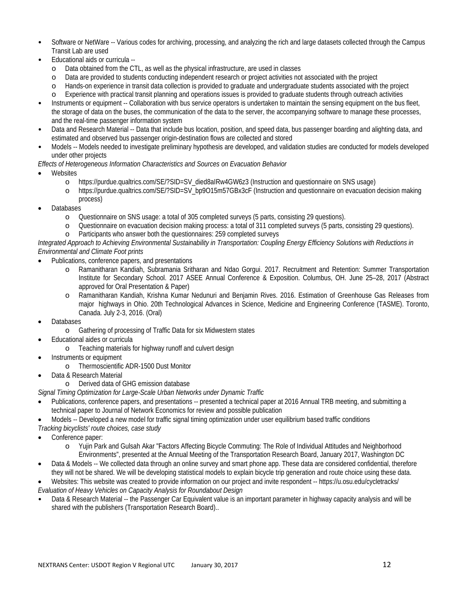- Software or NetWare -- Various codes for archiving, processing, and analyzing the rich and large datasets collected through the Campus Transit Lab are used
- Educational aids or curricula
	- o Data obtained from the CTL, as well as the physical infrastructure, are used in classes
	- o Data are provided to students conducting independent research or project activities not associated with the project
	- Hands-on experience in transit data collection is provided to graduate and undergraduate students associated with the project
	- o Experience with practical transit planning and operations issues is provided to graduate students through outreach activities
- Instruments or equipment -- Collaboration with bus service operators is undertaken to maintain the sensing equipment on the bus fleet, the storage of data on the buses, the communication of the data to the server, the accompanying software to manage these processes, and the real-time passenger information system
- Data and Research Material -- Data that include bus location, position, and speed data, bus passenger boarding and alighting data, and estimated and observed bus passenger origin-destination flows are collected and stored
- Models -- Models needed to investigate preliminary hypothesis are developed, and validation studies are conducted for models developed under other projects

*Effects of Heterogeneous Information Characteristics and Sources on Evacuation Behavior*

- **Websites** 
	- o https://purdue.qualtrics.com/SE/?SID=SV\_died8aIRw4GW6z3 (Instruction and questionnaire on SNS usage)
	- o https://purdue.qualtrics.com/SE/?SID=SV\_bp9O15m57GBx3cF (Instruction and questionnaire on evacuation decision making process)
- Databases
	- o Questionnaire on SNS usage: a total of 305 completed surveys (5 parts, consisting 29 questions).
	- o Questionnaire on evacuation decision making process: a total of 311 completed surveys (5 parts, consisting 29 questions).
	- o Participants who answer both the questionnaires: 259 completed surveys

## *Integrated Approach to Achieving Environmental Sustainability in Transportation: Coupling Energy Efficiency Solutions with Reductions in Environmental and Climate Foot prints*

- Publications, conference papers, and presentations
	- o Ramanitharan Kandiah, Subramania Sritharan and Ndao Gorgui. 2017. Recruitment and Retention: Summer Transportation Institute for Secondary School. 2017 ASEE Annual Conference & Exposition. Columbus, OH. June 25–28, 2017 (Abstract approved for Oral Presentation & Paper)
	- o Ramanitharan Kandiah, Krishna Kumar Nedunuri and Benjamin Rives. 2016. Estimation of Greenhouse Gas Releases from major highways in Ohio. 20th Technological Advances in Science, Medicine and Engineering Conference (TASME). Toronto, Canada. July 2-3, 2016. (Oral)
- Databases
	- o Gathering of processing of Traffic Data for six Midwestern states
- Educational aides or curricula
	- o Teaching materials for highway runoff and culvert design
- Instruments or equipment
	- o Thermoscientific ADR-1500 Dust Monitor
- Data & Research Material

o Derived data of GHG emission database

*Signal Timing Optimization for Large-Scale Urban Networks under Dynamic Traffic*

- Publications, conference papers, and presentations -- presented a technical paper at 2016 Annual TRB meeting, and submitting a technical paper to Journal of Network Economics for review and possible publication
- Models -- Developed a new model for traffic signal timing optimization under user equilibrium based traffic conditions

*Tracking bicyclists' route choices, case study* 

- Conference paper:
	- o Yujin Park and Gulsah Akar "Factors Affecting Bicycle Commuting: The Role of Individual Attitudes and Neighborhood Environments", presented at the Annual Meeting of the Transportation Research Board, January 2017, Washington DC
- Data & Models -- We collected data through an online survey and smart phone app. These data are considered confidential, therefore they will not be shared. We will be developing statistical models to explain bicycle trip generation and route choice using these data.

• Websites: This website was created to provide information on our project and invite respondent -- https://u.osu.edu/cycletracks/ *Evaluation of Heavy Vehicles on Capacity Analysis for Roundabout Design*

• Data & Research Material -- the Passenger Car Equivalent value is an important parameter in highway capacity analysis and will be shared with the publishers (Transportation Research Board)..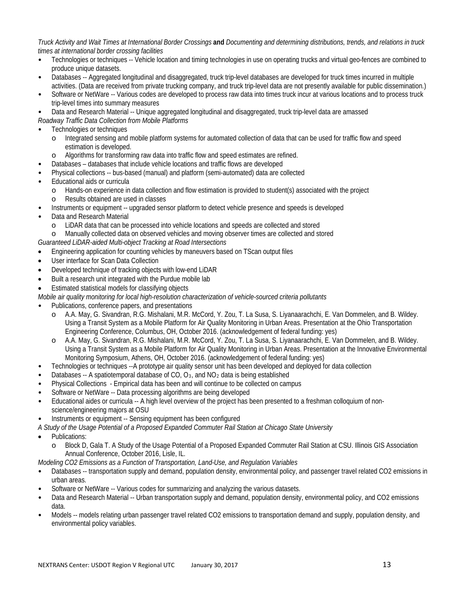*Truck Activity and Wait Times at International Border Crossings* **and** *Documenting and determining distributions, trends, and relations in truck times at international border crossing facilities*

- Technologies or techniques -- Vehicle location and timing technologies in use on operating trucks and virtual geo-fences are combined to produce unique datasets.
- Databases -- Aggregated longitudinal and disaggregated, truck trip-level databases are developed for truck times incurred in multiple activities. (Data are received from private trucking company, and truck trip-level data are not presently available for public dissemination.)
- Software or NetWare -- Various codes are developed to process raw data into times truck incur at various locations and to process truck trip-level times into summary measures

• Data and Research Material -- Unique aggregated longitudinal and disaggregated, truck trip-level data are amassed

*Roadway Traffic Data Collection from Mobile Platforms*

- Technologies or techniques
	- o Integrated sensing and mobile platform systems for automated collection of data that can be used for traffic flow and speed estimation is developed.
	- o Algorithms for transforming raw data into traffic flow and speed estimates are refined.
- Databases databases that include vehicle locations and traffic flows are developed
- Physical collections -- bus-based (manual) and platform (semi-automated) data are collected
- Educational aids or curricula
	- o Hands-on experience in data collection and flow estimation is provided to student(s) associated with the project Results obtained are used in classes
- Instruments or equipment -- upgraded sensor platform to detect vehicle presence and speeds is developed
- Data and Research Material
	-
	- o LiDAR data that can be processed into vehicle locations and speeds are collected and stored Manually collected data on observed vehicles and moving observer times are collected and stored

*Guaranteed LiDAR-aided Multi-object Tracking at Road Intersections*

- Engineering application for counting vehicles by maneuvers based on TScan output files
- User interface for Scan Data Collection
- Developed technique of tracking objects with low-end LiDAR
- Built a research unit integrated with the Purdue mobile lab
- Estimated statistical models for classifying objects
- *Mobile air quality monitoring for local high-resolution characterization of vehicle-sourced criteria pollutants*
- Publications, conference papers, and presentations
	- o A.A. May, G. Sivandran, R.G. Mishalani, M.R. McCord, Y. Zou, T. La Susa, S. Liyanaarachchi, E. Van Dommelen, and B. Wildey. Using a Transit System as a Mobile Platform for Air Quality Monitoring in Urban Areas. Presentation at the Ohio Transportation Engineering Conference, Columbus, OH, October 2016. (acknowledgement of federal funding: yes)
	- A.A. May, G. Sivandran, R.G. Mishalani, M.R. McCord, Y. Zou, T. La Susa, S. Liyanaarachchi, E. Van Dommelen, and B. Wildey. Using a Transit System as a Mobile Platform for Air Quality Monitoring in Urban Areas. Presentation at the Innovative Environmental Monitoring Symposium, Athens, OH, October 2016. (acknowledgement of federal funding: yes)
- Technologies or techniques --A prototype air quality sensor unit has been developed and deployed for data collection
- Databases -- A spatiotemporal database of CO,  $O_3$ , and NO<sub>2</sub> data is being established
- Physical Collections Empirical data has been and will continue to be collected on campus
- Software or NetWare -- Data processing algorithms are being developed
- Educational aides or curricula -- A high level overview of the project has been presented to a freshman colloquium of nonscience/engineering majors at OSU
- Instruments or equipment -- Sensing equipment has been configured

*A Study of the Usage Potential of a Proposed Expanded Commuter Rail Station at Chicago State University*

- Publications:
	- o Block D, Gala T. A Study of the Usage Potential of a Proposed Expanded Commuter Rail Station at CSU. Illinois GIS Association Annual Conference, October 2016, Lisle, IL.

#### *Modeling CO2 Emissions as a Function of Transportation, Land-Use, and Regulation Variables*

- Databases -- transportation supply and demand, population density, environmental policy, and passenger travel related CO2 emissions in urban areas.
- Software or NetWare -- Various codes for summarizing and analyzing the various datasets.
- Data and Research Material -- Urban transportation supply and demand, population density, environmental policy, and CO2 emissions data.
- Models -- models relating urban passenger travel related CO2 emissions to transportation demand and supply, population density, and environmental policy variables.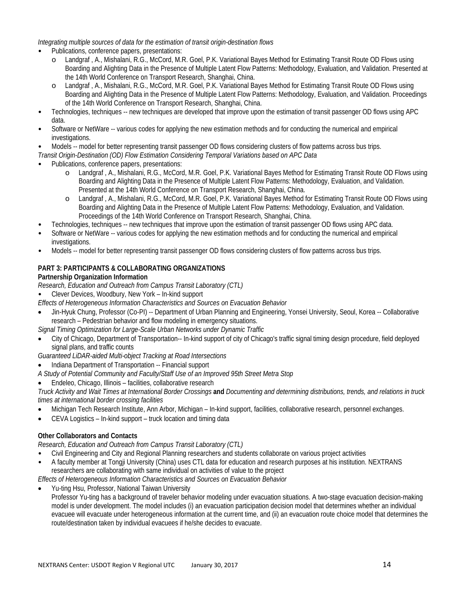*Integrating multiple sources of data for the estimation of transit origin-destination flows*

- Publications, conference papers, presentations:
	- o Landgraf , A., Mishalani, R.G., McCord, M.R. Goel, P.K. Variational Bayes Method for Estimating Transit Route OD Flows using Boarding and Alighting Data in the Presence of Multiple Latent Flow Patterns: Methodology, Evaluation, and Validation. Presented at the 14th World Conference on Transport Research, Shanghai, China.
	- o Landgraf , A., Mishalani, R.G., McCord, M.R. Goel, P.K. Variational Bayes Method for Estimating Transit Route OD Flows using Boarding and Alighting Data in the Presence of Multiple Latent Flow Patterns: Methodology, Evaluation, and Validation. Proceedings of the 14th World Conference on Transport Research, Shanghai, China.
- Technologies, techniques -- new techniques are developed that improve upon the estimation of transit passenger OD flows using APC data.
- Software or NetWare -- various codes for applying the new estimation methods and for conducting the numerical and empirical investigations.
- Models -- model for better representing transit passenger OD flows considering clusters of flow patterns across bus trips.

*Transit Origin-Destination (OD) Flow Estimation Considering Temporal Variations based on APC Data*

- Publications, conference papers, presentations:
	- o Landgraf , A., Mishalani, R.G., McCord, M.R. Goel, P.K. Variational Bayes Method for Estimating Transit Route OD Flows using Boarding and Alighting Data in the Presence of Multiple Latent Flow Patterns: Methodology, Evaluation, and Validation. Presented at the 14th World Conference on Transport Research, Shanghai, China.
	- o Landgraf , A., Mishalani, R.G., McCord, M.R. Goel, P.K. Variational Bayes Method for Estimating Transit Route OD Flows using Boarding and Alighting Data in the Presence of Multiple Latent Flow Patterns: Methodology, Evaluation, and Validation. Proceedings of the 14th World Conference on Transport Research, Shanghai, China.
- Technologies, techniques -- new techniques that improve upon the estimation of transit passenger OD flows using APC data.
- Software or NetWare -- various codes for applying the new estimation methods and for conducting the numerical and empirical investigations.
- Models -- model for better representing transit passenger OD flows considering clusters of flow patterns across bus trips.

## **PART 3: PARTICIPANTS & COLLABORATING ORGANIZATIONS**

#### **Partnership Organization Information**

*Research, Education and Outreach from Campus Transit Laboratory (CTL)*

• Clever Devices, Woodbury, New York – In-kind support

*Effects of Heterogeneous Information Characteristics and Sources on Evacuation Behavior*

- Jin-Hyuk Chung, Professor (Co-PI) -- Department of Urban Planning and Engineering, Yonsei University, Seoul, Korea -- Collaborative research – Pedestrian behavior and flow modeling in emergency situations.
- *Signal Timing Optimization for Large-Scale Urban Networks under Dynamic Traffic*
- City of Chicago, Department of Transportation-- In-kind support of city of Chicago's traffic signal timing design procedure, field deployed signal plans, and traffic counts

*Guaranteed LiDAR-aided Multi-object Tracking at Road Intersections*

• Indiana Department of Transportation -- Financial support

*A Study of Potential Community and Faculty/Staff Use of an Improved 95th Street Metra Stop*

#### • Endeleo, Chicago, Illinois – facilities, collaborative research

*Truck Activity and Wait Times at International Border Crossings* **and** *Documenting and determining distributions, trends, and relations in truck times at international border crossing facilities*

- Michigan Tech Research Institute, Ann Arbor, Michigan In-kind support, facilities, collaborative research, personnel exchanges.
- CEVA Logistics In-kind support truck location and timing data

## **Other Collaborators and Contacts**

*Research, Education and Outreach from Campus Transit Laboratory (CTL)*

- Civil Engineering and City and Regional Planning researchers and students collaborate on various project activities
- A faculty member at Tongji University (China) uses CTL data for education and research purposes at his institution. NEXTRANS researchers are collaborating with same individual on activities of value to the project

*Effects of Heterogeneous Information Characteristics and Sources on Evacuation Behavior*

• Yu-ting Hsu, Professor, National Taiwan University Professor Yu-ting has a background of traveler behavior modeling under evacuation situations. A two-stage evacuation decision-making model is under development. The model includes (i) an evacuation participation decision model that determines whether an individual evacuee will evacuate under heterogeneous information at the current time, and (ii) an evacuation route choice model that determines the route/destination taken by individual evacuees if he/she decides to evacuate.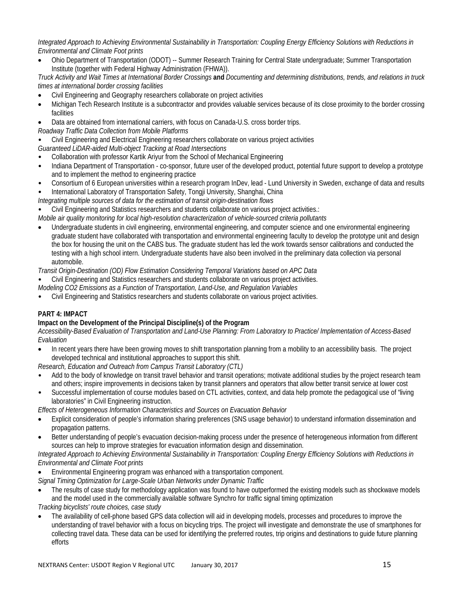*Integrated Approach to Achieving Environmental Sustainability in Transportation: Coupling Energy Efficiency Solutions with Reductions in Environmental and Climate Foot prints*

• Ohio Department of Transportation (ODOT) -- Summer Research Training for Central State undergraduate; Summer Transportation Institute (together with Federal Highway Administration (FHWA)).

*Truck Activity and Wait Times at International Border Crossings* **and** *Documenting and determining distributions, trends, and relations in truck times at international border crossing facilities*

- Civil Engineering and Geography researchers collaborate on project activities
- Michigan Tech Research Institute is a subcontractor and provides valuable services because of its close proximity to the border crossing facilities
- Data are obtained from international carriers, with focus on Canada-U.S. cross border trips.

*Roadway Traffic Data Collection from Mobile Platforms*

- Civil Engineering and Electrical Engineering researchers collaborate on various project activities
- *Guaranteed LiDAR-aided Multi-object Tracking at Road Intersections*
- Collaboration with professor Kartik Ariyur from the School of Mechanical Engineering
- Indiana Department of Transportation co-sponsor, future user of the developed product, potential future support to develop a prototype and to implement the method to engineering practice
- Consortium of 6 European universities within a research program InDev, lead Lund University in Sweden, exchange of data and results
- International Laboratory of Transportation Safety, Tongji University, Shanghai, China
- *Integrating multiple sources of data for the estimation of transit origin-destination flows*
- Civil Engineering and Statistics researchers and students collaborate on various project activities.:
- *Mobile air quality monitoring for local high-resolution characterization of vehicle-sourced criteria pollutants*
- Undergraduate students in civil engineering, environmental engineering, and computer science and one environmental engineering graduate student have collaborated with transportation and environmental engineering faculty to develop the prototype unit and design the box for housing the unit on the CABS bus. The graduate student has led the work towards sensor calibrations and conducted the testing with a high school intern. Undergraduate students have also been involved in the preliminary data collection via personal automobile.

*Transit Origin-Destination (OD) Flow Estimation Considering Temporal Variations based on APC Data*

- Civil Engineering and Statistics researchers and students collaborate on various project activities.
- *Modeling CO2 Emissions as a Function of Transportation, Land-Use, and Regulation Variables*
- Civil Engineering and Statistics researchers and students collaborate on various project activities.

## **PART 4: IMPACT**

## **Impact on the Development of the Principal Discipline(s) of the Program**

*Accessibility-Based Evaluation of Transportation and Land-Use Planning: From Laboratory to Practice/ Implementation of Access-Based Evaluation*

• In recent years there have been growing moves to shift transportation planning from a mobility to an accessibility basis. The project developed technical and institutional approaches to support this shift.

*Research, Education and Outreach from Campus Transit Laboratory (CTL)*

- Add to the body of knowledge on transit travel behavior and transit operations; motivate additional studies by the project research team and others; inspire improvements in decisions taken by transit planners and operators that allow better transit service at lower cost
- Successful implementation of course modules based on CTL activities, context, and data help promote the pedagogical use of "living laboratories" in Civil Engineering instruction.

*Effects of Heterogeneous Information Characteristics and Sources on Evacuation Behavior*

- Explicit consideration of people's information sharing preferences (SNS usage behavior) to understand information dissemination and propagation patterns.
- Better understanding of people's evacuation decision-making process under the presence of heterogeneous information from different sources can help to improve strategies for evacuation information design and dissemination.

*Integrated Approach to Achieving Environmental Sustainability in Transportation: Coupling Energy Efficiency Solutions with Reductions in Environmental and Climate Foot prints*

- Environmental Engineering program was enhanced with a transportation component.
- *Signal Timing Optimization for Large-Scale Urban Networks under Dynamic Traffic*
- The results of case study for methodology application was found to have outperformed the existing models such as shockwave models and the model used in the commercially available software Synchro for traffic signal timing optimization

*Tracking bicyclists' route choices, case study* 

• The availability of cell-phone based GPS data collection will aid in developing models, processes and procedures to improve the understanding of travel behavior with a focus on bicycling trips. The project will investigate and demonstrate the use of smartphones for collecting travel data. These data can be used for identifying the preferred routes, trip origins and destinations to guide future planning efforts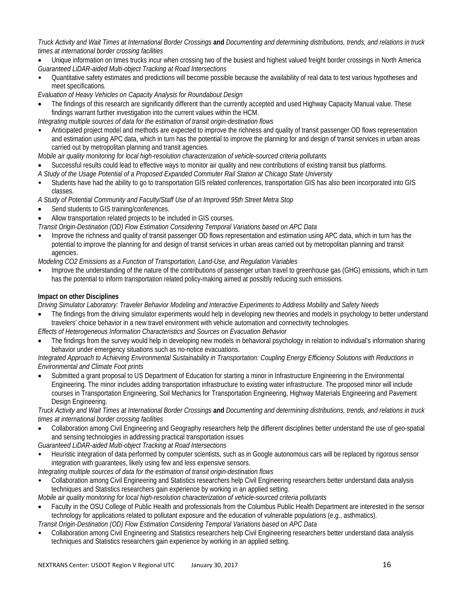*Truck Activity and Wait Times at International Border Crossings* **and** *Documenting and determining distributions, trends, and relations in truck times at international border crossing facilities*

- Unique information on times trucks incur when crossing two of the busiest and highest valued freight border crossings in North America *Guaranteed LiDAR-aided Multi-object Tracking at Road Intersections*
- Quantitative safety estimates and predictions will become possible because the availability of real data to test various hypotheses and meet specifications.

*Evaluation of Heavy Vehicles on Capacity Analysis for Roundabout Design*

• The findings of this research are significantly different than the currently accepted and used Highway Capacity Manual value. These findings warrant further investigation into the current values within the HCM.

*Integrating multiple sources of data for the estimation of transit origin-destination flows*

• Anticipated project model and methods are expected to improve the richness and quality of transit passenger OD flows representation and estimation using APC data, which in turn has the potential to improve the planning for and design of transit services in urban areas carried out by metropolitan planning and transit agencies.

*Mobile air quality monitoring for local high-resolution characterization of vehicle-sourced criteria pollutants*

- Successful results could lead to effective ways to monitor air quality and new contributions of existing transit bus platforms.
- *A Study of the Usage Potential of a Proposed Expanded Commuter Rail Station at Chicago State University*
- Students have had the ability to go to transportation GIS related conferences, transportation GIS has also been incorporated into GIS classes.

*A Study of Potential Community and Faculty/Staff Use of an Improved 95th Street Metra Stop*

- Send students to GIS training/conferences.
- Allow transportation related projects to be included in GIS courses.
- *Transit Origin-Destination (OD) Flow Estimation Considering Temporal Variations based on APC Data*
- Improve the richness and quality of transit passenger OD flows representation and estimation using APC data, which in turn has the potential to improve the planning for and design of transit services in urban areas carried out by metropolitan planning and transit agencies.

*Modeling CO2 Emissions as a Function of Transportation, Land-Use, and Regulation Variables*

• Improve the understanding of the nature of the contributions of passenger urban travel to greenhouse gas (GHG) emissions, which in turn has the potential to inform transportation related policy-making aimed at possibly reducing such emissions.

#### **Impact on other Disciplines**

*Driving Simulator Laboratory: Traveler Behavior Modeling and Interactive Experiments to Address Mobility and Safety Needs*

• The findings from the driving simulator experiments would help in developing new theories and models in psychology to better understand travelers' choice behavior in a new travel environment with vehicle automation and connectivity technologies.

*Effects of Heterogeneous Information Characteristics and Sources on Evacuation Behavior*

• The findings from the survey would help in developing new models in behavioral psychology in relation to individual's information sharing behavior under emergency situations such as no-notice evacuations.

*Integrated Approach to Achieving Environmental Sustainability in Transportation: Coupling Energy Efficiency Solutions with Reductions in Environmental and Climate Foot prints*

• Submitted a grant proposal to US Department of Education for starting a minor in Infrastructure Engineering in the Environmental Engineering. The minor includes adding transportation infrastructure to existing water infrastructure. The proposed minor will include courses in Transportation Engineering, Soil Mechanics for Transportation Engineering, Highway Materials Engineering and Pavement Design Engineering.

*Truck Activity and Wait Times at International Border Crossings* **and** *Documenting and determining distributions, trends, and relations in truck times at international border crossing facilities*

- Collaboration among Civil Engineering and Geography researchers help the different disciplines better understand the use of geo-spatial and sensing technologies in addressing practical transportation issues
- *Guaranteed LiDAR-aided Multi-object Tracking at Road Intersections*
- Heuristic integration of data performed by computer scientists, such as in Google autonomous cars will be replaced by rigorous sensor integration with guarantees, likely using few and less expensive sensors.

*Integrating multiple sources of data for the estimation of transit origin-destination flows*

• Collaboration among Civil Engineering and Statistics researchers help Civil Engineering researchers better understand data analysis techniques and Statistics researchers gain experience by working in an applied setting.

*Mobile air quality monitoring for local high-resolution characterization of vehicle-sourced criteria pollutants*

• Faculty in the OSU College of Public Health and professionals from the Columbus Public Health Department are interested in the sensor technology for applications related to pollutant exposure and the education of vulnerable populations (e.g., asthmatics).

*Transit Origin-Destination (OD) Flow Estimation Considering Temporal Variations based on APC Data*

• Collaboration among Civil Engineering and Statistics researchers help Civil Engineering researchers better understand data analysis techniques and Statistics researchers gain experience by working in an applied setting.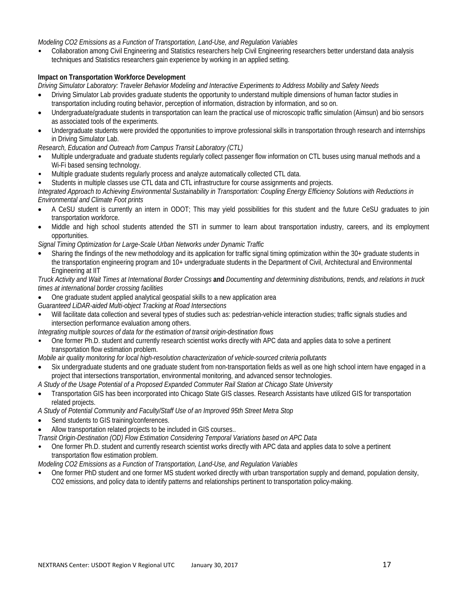#### *Modeling CO2 Emissions as a Function of Transportation, Land-Use, and Regulation Variables*

• Collaboration among Civil Engineering and Statistics researchers help Civil Engineering researchers better understand data analysis techniques and Statistics researchers gain experience by working in an applied setting.

#### **Impact on Transportation Workforce Development**

*Driving Simulator Laboratory: Traveler Behavior Modeling and Interactive Experiments to Address Mobility and Safety Needs*

- Driving Simulator Lab provides graduate students the opportunity to understand multiple dimensions of human factor studies in transportation including routing behavior, perception of information, distraction by information, and so on.
- Undergraduate/graduate students in transportation can learn the practical use of microscopic traffic simulation (Aimsun) and bio sensors as associated tools of the experiments.
- Undergraduate students were provided the opportunities to improve professional skills in transportation through research and internships in Driving Simulator Lab.

*Research, Education and Outreach from Campus Transit Laboratory (CTL)*

- Multiple undergraduate and graduate students regularly collect passenger flow information on CTL buses using manual methods and a Wi-Fi based sensing technology.
- Multiple graduate students regularly process and analyze automatically collected CTL data.

• Students in multiple classes use CTL data and CTL infrastructure for course assignments and projects.

*Integrated Approach to Achieving Environmental Sustainability in Transportation: Coupling Energy Efficiency Solutions with Reductions in Environmental and Climate Foot prints*

- A CeSU student is currently an intern in ODOT; This may yield possibilities for this student and the future CeSU graduates to join transportation workforce.
- Middle and high school students attended the STI in summer to learn about transportation industry, careers, and its employment opportunities.

*Signal Timing Optimization for Large-Scale Urban Networks under Dynamic Traffic*

• Sharing the findings of the new methodology and its application for traffic signal timing optimization within the 30+ graduate students in the transportation engineering program and 10+ undergraduate students in the Department of Civil, Architectural and Environmental Engineering at IIT

*Truck Activity and Wait Times at International Border Crossings* **and** *Documenting and determining distributions, trends, and relations in truck times at international border crossing facilities*

• One graduate student applied analytical geospatial skills to a new application area

*Guaranteed LiDAR-aided Multi-object Tracking at Road Intersections*

• Will facilitate data collection and several types of studies such as: pedestrian-vehicle interaction studies; traffic signals studies and intersection performance evaluation among others.

*Integrating multiple sources of data for the estimation of transit origin-destination flows*

• One former Ph.D. student and currently research scientist works directly with APC data and applies data to solve a pertinent transportation flow estimation problem.

*Mobile air quality monitoring for local high-resolution characterization of vehicle-sourced criteria pollutants*

• Six undergraduate students and one graduate student from non-transportation fields as well as one high school intern have engaged in a project that intersections transportation, environmental monitoring, and advanced sensor technologies.

*A Study of the Usage Potential of a Proposed Expanded Commuter Rail Station at Chicago State University*

• Transportation GIS has been incorporated into Chicago State GIS classes. Research Assistants have utilized GIS for transportation related projects.

*A Study of Potential Community and Faculty/Staff Use of an Improved 95th Street Metra Stop*

- Send students to GIS training/conferences.
- Allow transportation related projects to be included in GIS courses..

*Transit Origin-Destination (OD) Flow Estimation Considering Temporal Variations based on APC Data*

• One former Ph.D. student and currently research scientist works directly with APC data and applies data to solve a pertinent transportation flow estimation problem.

*Modeling CO2 Emissions as a Function of Transportation, Land-Use, and Regulation Variables*

• One former PhD student and one former MS student worked directly with urban transportation supply and demand, population density, CO2 emissions, and policy data to identify patterns and relationships pertinent to transportation policy-making.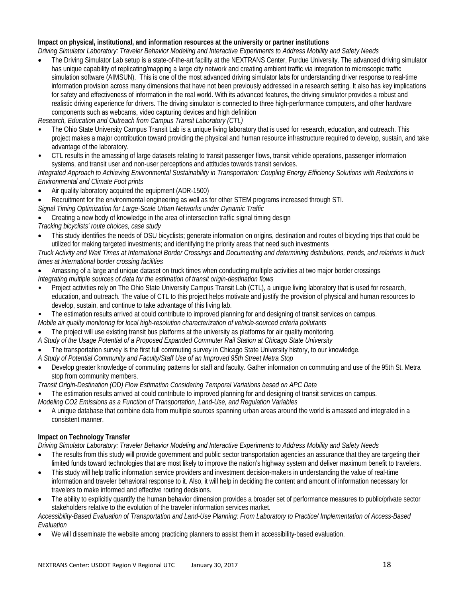# **Impact on physical, institutional, and information resources at the university or partner institutions**

*Driving Simulator Laboratory: Traveler Behavior Modeling and Interactive Experiments to Address Mobility and Safety Needs*

• The Driving Simulator Lab setup is a state-of-the-art facility at the NEXTRANS Center, Purdue University. The advanced driving simulator has unique capability of replicating/mapping a large city network and creating ambient traffic via integration to microscopic traffic simulation software (AIMSUN). This is one of the most advanced driving simulator labs for understanding driver response to real-time information provision across many dimensions that have not been previously addressed in a research setting. It also has key implications for safety and effectiveness of information in the real world. With its advanced features, the driving simulator provides a robust and realistic driving experience for drivers. The driving simulator is connected to three high-performance computers, and other hardware components such as webcams, video capturing devices and high definition

*Research, Education and Outreach from Campus Transit Laboratory (CTL)*

- The Ohio State University Campus Transit Lab is a unique living laboratory that is used for research, education, and outreach. This project makes a major contribution toward providing the physical and human resource infrastructure required to develop, sustain, and take advantage of the laboratory.
- CTL results in the amassing of large datasets relating to transit passenger flows, transit vehicle operations, passenger information systems, and transit user and non-user perceptions and attitudes towards transit services.

*Integrated Approach to Achieving Environmental Sustainability in Transportation: Coupling Energy Efficiency Solutions with Reductions in Environmental and Climate Foot prints*

- Air quality laboratory acquired the equipment (ADR-1500)
- Recruitment for the environmental engineering as well as for other STEM programs increased through STI.
- *Signal Timing Optimization for Large-Scale Urban Networks under Dynamic Traffic*

• Creating a new body of knowledge in the area of intersection traffic signal timing design

- *Tracking bicyclists' route choices, case study*
- This study identifies the needs of OSU bicyclists; generate information on origins, destination and routes of bicycling trips that could be utilized for making targeted investments; and identifying the priority areas that need such investments

*Truck Activity and Wait Times at International Border Crossings* **and** *Documenting and determining distributions, trends, and relations in truck times at international border crossing facilities*

- Amassing of a large and unique dataset on truck times when conducting multiple activities at two major border crossings *Integrating multiple sources of data for the estimation of transit origin-destination flows*
- Project activities rely on The Ohio State University Campus Transit Lab (CTL), a unique living laboratory that is used for research, education, and outreach. The value of CTL to this project helps motivate and justify the provision of physical and human resources to develop, sustain, and continue to take advantage of this living lab.
- The estimation results arrived at could contribute to improved planning for and designing of transit services on campus.
- *Mobile air quality monitoring for local high-resolution characterization of vehicle-sourced criteria pollutants*
- The project will use existing transit bus platforms at the university as platforms for air quality monitoring.
- *A Study of the Usage Potential of a Proposed Expanded Commuter Rail Station at Chicago State University*
- The transportation survey is the first full commuting survey in Chicago State University history, to our knowledge.
- *A Study of Potential Community and Faculty/Staff Use of an Improved 95th Street Metra Stop*
- Develop greater knowledge of commuting patterns for staff and faculty. Gather information on commuting and use of the 95th St. Metra stop from community members.
- *Transit Origin-Destination (OD) Flow Estimation Considering Temporal Variations based on APC Data*

• The estimation results arrived at could contribute to improved planning for and designing of transit services on campus.

*Modeling CO2 Emissions as a Function of Transportation, Land-Use, and Regulation Variables*

• A unique database that combine data from multiple sources spanning urban areas around the world is amassed and integrated in a consistent manner.

## **Impact on Technology Transfer**

*Driving Simulator Laboratory: Traveler Behavior Modeling and Interactive Experiments to Address Mobility and Safety Needs*

- The results from this study will provide government and public sector transportation agencies an assurance that they are targeting their limited funds toward technologies that are most likely to improve the nation's highway system and deliver maximum benefit to travelers.
- This study will help traffic information service providers and investment decision-makers in understanding the value of real-time information and traveler behavioral response to it. Also, it will help in deciding the content and amount of information necessary for travelers to make informed and effective routing decisions.
- The ability to explicitly quantify the human behavior dimension provides a broader set of performance measures to public/private sector stakeholders relative to the evolution of the traveler information services market.

*Accessibility-Based Evaluation of Transportation and Land-Use Planning: From Laboratory to Practice/ Implementation of Access-Based Evaluation*

• We will disseminate the website among practicing planners to assist them in accessibility-based evaluation.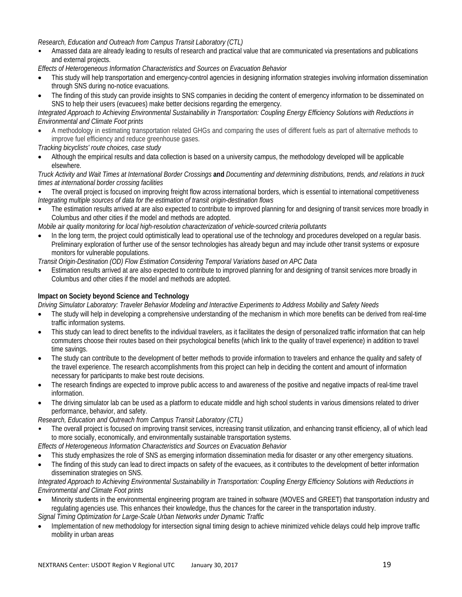*Research, Education and Outreach from Campus Transit Laboratory (CTL)*

• Amassed data are already leading to results of research and practical value that are communicated via presentations and publications and external projects.

*Effects of Heterogeneous Information Characteristics and Sources on Evacuation Behavior*

- This study will help transportation and emergency-control agencies in designing information strategies involving information dissemination through SNS during no-notice evacuations.
- The finding of this study can provide insights to SNS companies in deciding the content of emergency information to be disseminated on SNS to help their users (evacuees) make better decisions regarding the emergency.

*Integrated Approach to Achieving Environmental Sustainability in Transportation: Coupling Energy Efficiency Solutions with Reductions in Environmental and Climate Foot prints*

- A methodology in estimating transportation related GHGs and comparing the uses of different fuels as part of alternative methods to improve fuel efficiency and reduce greenhouse gases.
- *Tracking bicyclists' route choices, case study*
- Although the empirical results and data collection is based on a university campus, the methodology developed will be applicable elsewhere.

*Truck Activity and Wait Times at International Border Crossings* **and** *Documenting and determining distributions, trends, and relations in truck times at international border crossing facilities*

- The overall project is focused on improving freight flow across international borders, which is essential to international competitiveness *Integrating multiple sources of data for the estimation of transit origin-destination flows*
- The estimation results arrived at are also expected to contribute to improved planning for and designing of transit services more broadly in Columbus and other cities if the model and methods are adopted.

*Mobile air quality monitoring for local high-resolution characterization of vehicle-sourced criteria pollutants*

• In the long term, the project could optimistically lead to operational use of the technology and procedures developed on a regular basis. Preliminary exploration of further use of the sensor technologies has already begun and may include other transit systems or exposure monitors for vulnerable populations.

*Transit Origin-Destination (OD) Flow Estimation Considering Temporal Variations based on APC Data*

• Estimation results arrived at are also expected to contribute to improved planning for and designing of transit services more broadly in Columbus and other cities if the model and methods are adopted.

## **Impact on Society beyond Science and Technology**

*Driving Simulator Laboratory: Traveler Behavior Modeling and Interactive Experiments to Address Mobility and Safety Needs*

- The study will help in developing a comprehensive understanding of the mechanism in which more benefits can be derived from real-time traffic information systems.
- This study can lead to direct benefits to the individual travelers, as it facilitates the design of personalized traffic information that can help commuters choose their routes based on their psychological benefits (which link to the quality of travel experience) in addition to travel time savings.
- The study can contribute to the development of better methods to provide information to travelers and enhance the quality and safety of the travel experience. The research accomplishments from this project can help in deciding the content and amount of information necessary for participants to make best route decisions.
- The research findings are expected to improve public access to and awareness of the positive and negative impacts of real-time travel information.
- The driving simulator lab can be used as a platform to educate middle and high school students in various dimensions related to driver performance, behavior, and safety.

*Research, Education and Outreach from Campus Transit Laboratory (CTL)*

• The overall project is focused on improving transit services, increasing transit utilization, and enhancing transit efficiency, all of which lead to more socially, economically, and environmentally sustainable transportation systems.

*Effects of Heterogeneous Information Characteristics and Sources on Evacuation Behavior*

- This study emphasizes the role of SNS as emerging information dissemination media for disaster or any other emergency situations.
- The finding of this study can lead to direct impacts on safety of the evacuees, as it contributes to the development of better information dissemination strategies on SNS.

*Integrated Approach to Achieving Environmental Sustainability in Transportation: Coupling Energy Efficiency Solutions with Reductions in Environmental and Climate Foot prints*

• Minority students in the environmental engineering program are trained in software (MOVES and GREET) that transportation industry and regulating agencies use. This enhances their knowledge, thus the chances for the career in the transportation industry.

*Signal Timing Optimization for Large-Scale Urban Networks under Dynamic Traffic*

• Implementation of new methodology for intersection signal timing design to achieve minimized vehicle delays could help improve traffic mobility in urban areas